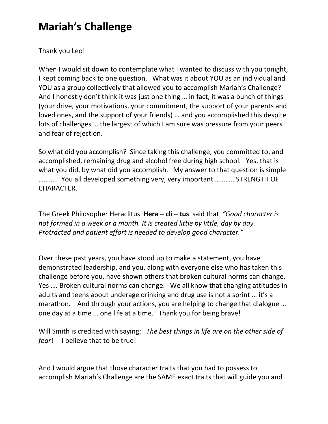## **Mariah's Challenge**

Thank you Leo!

When I would sit down to contemplate what I wanted to discuss with you tonight, I kept coming back to one question. What was it about YOU as an individual and YOU as a group collectively that allowed you to accomplish Mariah's Challenge? And I honestly don't think it was just one thing … in fact, it was a bunch of things (your drive, your motivations, your commitment, the support of your parents and loved ones, and the support of your friends) … and you accomplished this despite lots of challenges … the largest of which I am sure was pressure from your peers and fear of rejection.

So what did you accomplish? Since taking this challenge, you committed to, and accomplished, remaining drug and alcohol free during high school. Yes, that is what you did, by what did you accomplish. My answer to that question is simple ……….. You all developed something very, very important ……….. STRENGTH OF CHARACTER.

The Greek Philosopher Heraclitus **Hera – cli – tus** said that *"Good character is not formed in a week or a month. It is created little by little, day by day. Protracted and patient effort is needed to develop good character."*

Over these past years, you have stood up to make a statement, you have demonstrated leadership, and you, along with everyone else who has taken this challenge before you, have shown others that broken cultural norms can change. Yes …. Broken cultural norms can change. We all know that changing attitudes in adults and teens about underage drinking and drug use is not a sprint … it's a marathon. And through your actions, you are helping to change that dialogue … one day at a time … one life at a time. Thank you for being brave!

Will Smith is credited with saying: *The best things in life are on the other side of fear*! I believe that to be true!

And I would argue that those character traits that you had to possess to accomplish Mariah's Challenge are the SAME exact traits that will guide you and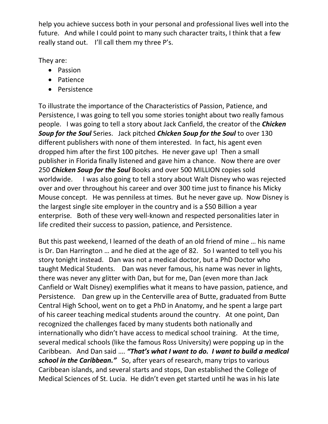help you achieve success both in your personal and professional lives well into the future. And while I could point to many such character traits, I think that a few really stand out. I'll call them my three P's.

They are:

- Passion
- Patience
- Persistence

To illustrate the importance of the Characteristics of Passion, Patience, and Persistence, I was going to tell you some stories tonight about two really famous people. I was going to tell a story about Jack Canfield, the creator of the *Chicken Soup for the Soul* Series. Jack pitched *Chicken Soup for the Soul* to over 130 different publishers with none of them interested. In fact, his agent even dropped him after the first 100 pitches. He never gave up! Then a small publisher in Florida finally listened and gave him a chance. Now there are over 250 *Chicken Soup for the Soul* Books and over 500 MILLION copies sold worldwide. I was also going to tell a story about Walt Disney who was rejected over and over throughout his career and over 300 time just to finance his Micky Mouse concept. He was penniless at times. But he never gave up. Now Disney is the largest single site employer in the country and is a \$50 Billion a year enterprise. Both of these very well-known and respected personalities later in life credited their success to passion, patience, and Persistence.

But this past weekend, I learned of the death of an old friend of mine … his name is Dr. Dan Harrington … and he died at the age of 82. So I wanted to tell you his story tonight instead. Dan was not a medical doctor, but a PhD Doctor who taught Medical Students. Dan was never famous, his name was never in lights, there was never any glitter with Dan, but for me, Dan (even more than Jack Canfield or Walt Disney) exemplifies what it means to have passion, patience, and Persistence. Dan grew up in the Centerville area of Butte, graduated from Butte Central High School, went on to get a PhD in Anatomy, and he spent a large part of his career teaching medical students around the country. At one point, Dan recognized the challenges faced by many students both nationally and internationally who didn't have access to medical school training. At the time, several medical schools (like the famous Ross University) were popping up in the Caribbean. And Dan said …. *"That's what I want to do. I want to build a medical school in the Caribbean."* So, after years of research, many trips to various Caribbean islands, and several starts and stops, Dan established the College of Medical Sciences of St. Lucia. He didn't even get started until he was in his late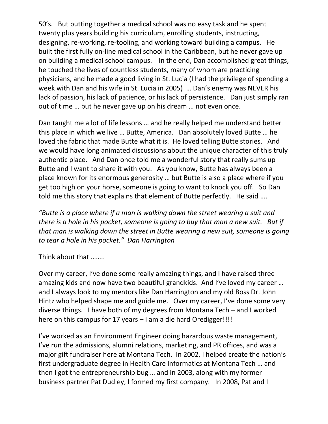50's. But putting together a medical school was no easy task and he spent twenty plus years building his curriculum, enrolling students, instructing, designing, re-working, re-tooling, and working toward building a campus. He built the first fully on-line medical school in the Caribbean, but he never gave up on building a medical school campus. In the end, Dan accomplished great things, he touched the lives of countless students, many of whom are practicing physicians, and he made a good living in St. Lucia (I had the privilege of spending a week with Dan and his wife in St. Lucia in 2005) … Dan's enemy was NEVER his lack of passion, his lack of patience, or his lack of persistence. Dan just simply ran out of time … but he never gave up on his dream … not even once.

Dan taught me a lot of life lessons … and he really helped me understand better this place in which we live … Butte, America. Dan absolutely loved Butte … he loved the fabric that made Butte what it is. He loved telling Butte stories. And we would have long animated discussions about the unique character of this truly authentic place. And Dan once told me a wonderful story that really sums up Butte and I want to share it with you. As you know, Butte has always been a place known for its enormous generosity … but Butte is also a place where if you get too high on your horse, someone is going to want to knock you off. So Dan told me this story that explains that element of Butte perfectly. He said ….

*"Butte is a place where if a man is walking down the street wearing a suit and there is a hole in his pocket, someone is going to buy that man a new suit. But if that man is walking down the street in Butte wearing a new suit, someone is going to tear a hole in his pocket." Dan Harrington* 

Think about that ……..

Over my career, I've done some really amazing things, and I have raised three amazing kids and now have two beautiful grandkids. And I've loved my career … and I always look to my mentors like Dan Harrington and my old Boss Dr. John Hintz who helped shape me and guide me. Over my career, I've done some very diverse things. I have both of my degrees from Montana Tech – and I worked here on this campus for 17 years – I am a die hard Oredigger!!!!

I've worked as an Environment Engineer doing hazardous waste management, I've run the admissions, alumni relations, marketing, and PR offices, and was a major gift fundraiser here at Montana Tech. In 2002, I helped create the nation's first undergraduate degree in Health Care Informatics at Montana Tech … and then I got the entrepreneurship bug … and in 2003, along with my former business partner Pat Dudley, I formed my first company. In 2008, Pat and I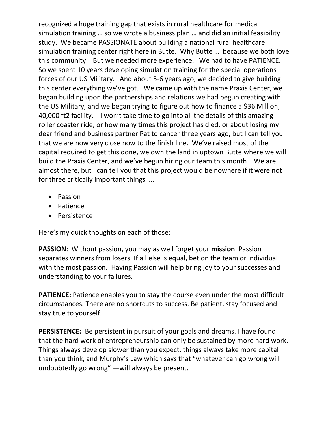recognized a huge training gap that exists in rural healthcare for medical simulation training … so we wrote a business plan … and did an initial feasibility study. We became PASSIONATE about building a national rural healthcare simulation training center right here in Butte. Why Butte … because we both love this community. But we needed more experience. We had to have PATIENCE. So we spent 10 years developing simulation training for the special operations forces of our US Military. And about 5-6 years ago, we decided to give building this center everything we've got. We came up with the name Praxis Center, we began building upon the partnerships and relations we had begun creating with the US Military, and we began trying to figure out how to finance a \$36 Million, 40,000 ft2 facility. I won't take time to go into all the details of this amazing roller coaster ride, or how many times this project has died, or about losing my dear friend and business partner Pat to cancer three years ago, but I can tell you that we are now very close now to the finish line. We've raised most of the capital required to get this done, we own the land in uptown Butte where we will build the Praxis Center, and we've begun hiring our team this month. We are almost there, but I can tell you that this project would be nowhere if it were not for three critically important things ….

- Passion
- Patience
- Persistence

Here's my quick thoughts on each of those:

**PASSION**: Without passion, you may as well forget your **mission**. Passion separates winners from losers. If all else is equal, bet on the team or individual with the most passion. Having Passion will help bring joy to your successes and understanding to your failures.

**PATIENCE:** Patience enables you to stay the course even under the most difficult circumstances. There are no shortcuts to success. Be patient, stay focused and stay true to yourself.

**PERSISTENCE:** Be persistent in pursuit of your goals and dreams. I have found that the hard work of entrepreneurship can only be sustained by more hard work. Things always develop slower than you expect, things always take more capital than you think, and Murphy's Law which says that "whatever can go wrong will undoubtedly go wrong" —will always be present.